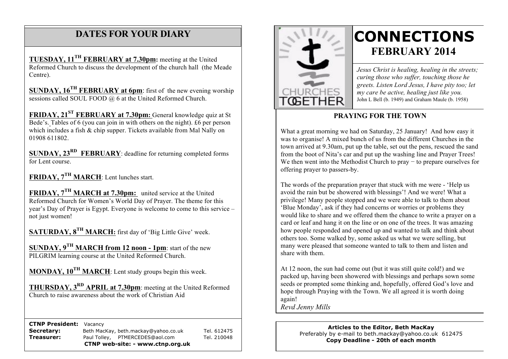## **DATES FOR YOUR DIARY**

 Centre). **TUESDAY, 11TH FEBRUARY at 7.30pm:** meeting at the United Reformed Church to discuss the development of the church hall (the Meade

 **SUNDAY, 16TH FEBRUARY at 6pm**: first of the new evening worship sessions called SOUL FOOD @ 6 at the United Reformed Church.

**FRIDAY, 21ST FEBRUARY at 7.30pm:** General knowledge quiz at St Bede's. Tables of 6 (you can join in with others on the night). £6 per person which includes a fish & chip supper. Tickets available from Mal Nally on 01908 611802.

**SUNDAY, 23<sup>RD</sup> FEBRUARY**: deadline for returning completed forms for Lent course.

**FRIDAY, 7TH MARCH**: Lent lunches start.

**FRIDAY, 7TH MARCH at 7.30pm:** united service at the United Reformed Church for Women's World Day of Prayer. The theme for this year's Day of Prayer is Egypt. Everyone is welcome to come to this service – not just women!

**SATURDAY, 8TH MARCH:** first day of 'Big Little Give' week.

**SUNDAY, 9TH MARCH from 12 noon - 1pm**: start of the new PILGRIM learning course at the United Reformed Church.

**MONDAY, 10TH MARCH**: Lent study groups begin this week.

**THURSDAY, 3RD APRIL at 7.30pm**: meeting at the United Reformed Church to raise awareness about the work of Christian Aid

 **CTNP President:** Vacancy

**Secretary:** Beth MacKay, beth.mackay@yahoo.co.uk Tel. 612475 **Treasurer:** Paul Tolley, PTMERCEDES@aol.com Tel. 210048 **CTNP web-site: - www.ctnp.org.uk**



# **CONNECTIONS FEBRUARY 2014**

*Jesus Christ is healing, healing in the streets; curing those who suffer, touching those he greets. Listen Lord Jesus, I have pity too; let my care be active, healing just like you.* John L Bell (b. 1949) and Graham Maule (b. 1958)

#### **PRAYING FOR THE TOWN**

What a great morning we had on Saturday, 25 January! And how easy it was to organise! A mixed bunch of us from the different Churches in the town arrived at 9.30am, put up the table, set out the pens, rescued the sand from the boot of Nita's car and put up the washing line and Prayer Trees! We then went into the Methodist Church to pray − to prepare ourselves for offering prayer to passers-by.

The words of the preparation prayer that stuck with me were - 'Help us avoid the rain but be showered with blessings'! And we were! What a privilege! Many people stopped and we were able to talk to them about 'Blue Monday', ask if they had concerns or worries or problems they would like to share and we offered them the chance to write a prayer on a card or leaf and hang it on the line or on one of the trees. It was amazing how people responded and opened up and wanted to talk and think about others too. Some walked by, some asked us what we were selling, but many were pleased that someone wanted to talk to them and listen and share with them.

At 12 noon, the sun had come out (but it was still quite cold!) and we packed up, having been showered with blessings and perhaps sown some seeds or prompted some thinking and, hopefully, offered God's love and hope through Praying with the Town. We all agreed it is worth doing again!

*Revd Jenny Mills*

#### **Articles to the Editor, Beth MacKay** Preferably by e-mail to beth.mackay@yahoo.co.uk 612475 **Copy Deadline - 20th of each month**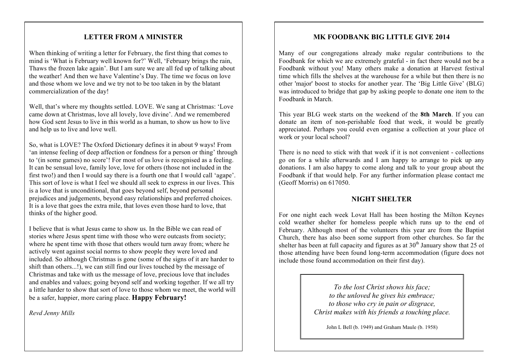#### **LETTER FROM A MINISTER**

When thinking of writing a letter for February, the first thing that comes to mind is 'What is February well known for?' Well, 'February brings the rain, Thaws the frozen lake again'. But I am sure we are all fed up of talking about the weather! And then we have Valentine's Day. The time we focus on love and those whom we love and we try not to be too taken in by the blatant commercialization of the day!

Well, that's where my thoughts settled. LOVE. We sang at Christmas: 'Love came down at Christmas, love all lovely, love divine'. And we remembered how God sent Jesus to live in this world as a human, to show us how to live and help us to live and love well.

So, what is LOVE? The Oxford Dictionary defines it in about 9 ways! From 'an intense feeling of deep affection or fondness for a person or thing' through to '(in some games) no score'! For most of us love is recognised as a feeling. It can be sensual love, family love, love for others (those not included in the first two!) and then I would say there is a fourth one that I would call 'agape'. This sort of love is what I feel we should all seek to express in our lives. This is a love that is unconditional, that goes beyond self, beyond personal prejudices and judgements, beyond easy relationships and preferred choices. It is a love that goes the extra mile, that loves even those hard to love, that thinks of the higher good.

I believe that is what Jesus came to show us. In the Bible we can read of stories where Jesus spent time with those who were outcasts from society; where he spent time with those that others would turn away from; where he actively went against social norms to show people they were loved and included. So although Christmas is gone (some of the signs of it are harder to shift than others...!), we can still find our lives touched by the message of Christmas and take with us the message of love, precious love that includes and enables and values; going beyond self and working together. If we all try a little harder to show that sort of love to those whom we meet, the world will be a safer, happier, more caring place. **Happy February!**

*Revd Jenny Mills*

#### **MK FOODBANK BIG LITTLE GIVE 2014**

Many of our congregations already make regular contributions to the Foodbank for which we are extremely grateful - in fact there would not be a Foodbank without you! Many others make a donation at Harvest festival time which fills the shelves at the warehouse for a while but then there is no other 'major' boost to stocks for another year. The 'Big Little Give' (BLG) was introduced to bridge that gap by asking people to donate one item to the Foodbank in March.

This year BLG week starts on the weekend of the **8th March**. If you can donate an item of non-perishable food that week, it would be greatly appreciated. Perhaps you could even organise a collection at your place of work or your local school?

There is no need to stick with that week if it is not convenient - collections go on for a while afterwards and I am happy to arrange to pick up any donations. I am also happy to come along and talk to your group about the Foodbank if that would help. For any further information please contact me (Geoff Morris) on 617050.

#### **NIGHT SHELTER**

For one night each week Lovat Hall has been hosting the Milton Keynes cold weather shelter for homeless people which runs up to the end of February. Although most of the volunteers this year are from the Baptist Church, there has also been some support from other churches. So far the shelter has been at full capacity and figures as at  $30<sup>th</sup>$  January show that 25 of those attending have been found long-term accommodation (figure does not include those found accommodation on their first day).

> *To the lost Christ shows his face; to the unloved he gives his embrace; to those who cry in pain or disgrace, Christ makes with his friends a touching place.*

John L Bell (b. 1949) and Graham Maule (b. 1958)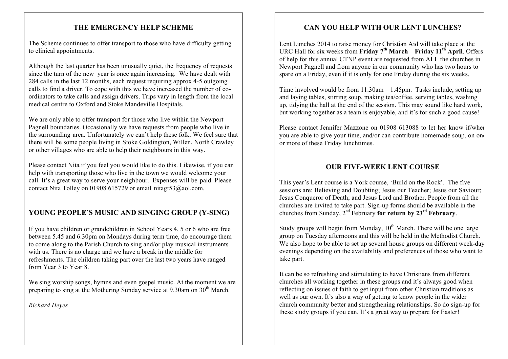#### **THE EMERGENCY HELP SCHEME**

The Scheme continues to offer transport to those who have difficulty getting to clinical appointments.

Although the last quarter has been unusually quiet, the frequency of requests since the turn of the new year is once again increasing. We have dealt with 284 calls in the last 12 months, each request requiring approx 4-5 outgoing calls to find a driver. To cope with this we have increased the number of coordinators to take calls and assign drivers. Trips vary in length from the local medical centre to Oxford and Stoke Mandeville Hospitals.

We are only able to offer transport for those who live within the Newport Pagnell boundaries. Occasionally we have requests from people who live in the surrounding area. Unfortunately we can't help these folk. We feel sure that there will be some people living in Stoke Goldington, Willen, North Crawley or other villages who are able to help their neighbours in this way.

Please contact Nita if you feel you would like to do this. Likewise, if you can help with transporting those who live in the town we would welcome your call. It's a great way to serve your neighbour. Expenses will be paid. Please contact Nita Tolley on 01908 615729 or email nitagt53@aol.com.

### **YOUNG PEOPLE'S MUSIC AND SINGING GROUP (Y-SING)**

If you have children or grandchildren in School Years 4, 5 or 6 who are free between 5.45 and 6.30pm on Mondays during term time, do encourage them to come along to the Parish Church to sing and/or play musical instruments with us. There is no charge and we have a break in the middle for refreshments. The children taking part over the last two years have ranged from Year 3 to Year 8.

We sing worship songs, hymns and even gospel music. At the moment we are preparing to sing at the Mothering Sunday service at  $9.30$ am on  $30<sup>th</sup>$  March.

*Richard Heyes*

#### **CAN YOU HELP WITH OUR LENT LUNCHES?**

Lent Lunches 2014 to raise money for Christian Aid will take place at the URC Hall for six weeks from **Friday 7<sup>th</sup> March – Friday 11<sup>th</sup> April**. Offers of help for this annual CTNP event are requested from ALL the churches in Newport Pagnell and from anyone in our community who has two hours to spare on a Friday, even if it is only for one Friday during the six weeks.

Time involved would be from 11.30am – 1.45pm. Tasks include, setting up and laying tables, stirring soup, making tea/coffee, serving tables, washing up, tidying the hall at the end of the session. This may sound like hard work, but working together as a team is enjoyable, and it's for such a good cause!

Please contact Jennifer Mazzone on 01908 613088 to let her know if/when you are able to give your time, and/or can contribute homemade soup, on one or more of these Friday lunchtimes.

#### **OUR FIVE-WEEK LENT COURSE**

This year's Lent course is a York course, 'Build on the Rock'. The five sessions are: Believing and Doubting; Jesus our Teacher; Jesus our Saviour; Jesus Conqueror of Death; and Jesus Lord and Brother. People from all the churches are invited to take part. Sign-up forms should be available in the churches from Sunday, 2nd February **for return by 23rd February**.

Study groups will begin from Monday,  $10<sup>th</sup>$  March. There will be one large group on Tuesday afternoons and this will be held in the Methodist Church. We also hope to be able to set up several house groups on different week-day evenings depending on the availability and preferences of those who want to take part.

It can be so refreshing and stimulating to have Christians from different churches all working together in these groups and it's always good when reflecting on issues of faith to get input from other Christian traditions as well as our own. It's also a way of getting to know people in the wider church community better and strengthening relationships. So do sign-up for these study groups if you can. It's a great way to prepare for Easter!